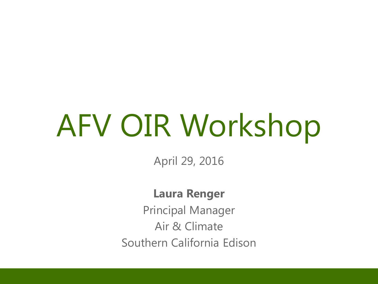# AFV OIR Workshop

April 29, 2016

#### **Laura Renger**

Principal Manager Air & Climate Southern California Edison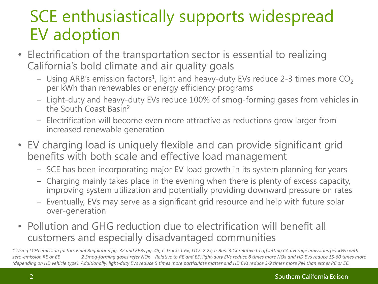# SCE enthusiastically supports widespread EV adoption

- Electrification of the transportation sector is essential to realizing California's bold climate and air quality goals
	- Using ARB's emission factors<sup>1</sup>, light and heavy-duty EVs reduce 2-3 times more  $\mathsf{CO}_2$ per kWh than renewables or energy efficiency programs
	- ‒ Light-duty and heavy-duty EVs reduce 100% of smog-forming gases from vehicles in the South Coast Basin<sup>2</sup>
	- ‒ Electrification will become even more attractive as reductions grow larger from increased renewable generation
- EV charging load is uniquely flexible and can provide significant grid benefits with both scale and effective load management
	- ‒ SCE has been incorporating major EV load growth in its system planning for years
	- ‒ Charging mainly takes place in the evening when there is plenty of excess capacity, improving system utilization and potentially providing downward pressure on rates
	- ‒ Eventually, EVs may serve as a significant grid resource and help with future solar over-generation
- Pollution and GHG reduction due to electrification will benefit all customers and especially disadvantaged communities

*1 Using LCFS emission factors Final Regulation pg. 32 and EERs pg. 45, e-Truck: 1.6x; LDV: 2.2x; e-Bus: 3.1x relative to offsetting CA average emissions per kWh with zero-emission RE or EE 2 Smog-forming gases refer NOx – Relative to RE and EE, light-duty EVs reduce 8 times more NOx and HD EVs reduce 15-60 times more (depending on HD vehicle type). Additionally, light-duty EVs reduce 5 times more particulate matter and HD EVs reduce 3-9 times more PM than either RE or EE.*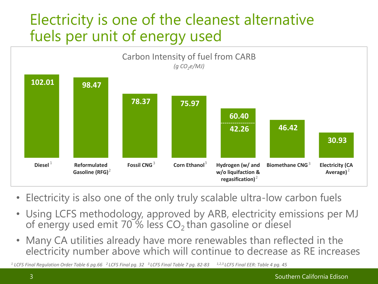### Electricity is one of the cleanest alternative fuels per unit of energy used



- Electricity is also one of the only truly scalable ultra-low carbon fuels
- Using LCFS methodology, approved by ARB, electricity emissions per MJ of energy used emit 70 % less  $CO<sub>2</sub>$  than gasoline or diesel
- Many CA utilities already have more renewables than reflected in the electricity number above which will continue to decrease as RE increases

*<sup>1</sup> LCFS Final Regulation Order Table 6 pg.66 <sup>2</sup>LCFS Final pg. 32 <sup>3</sup>LCFS Final Table 7 pg. 82-83 1,2,3 LCFS Final EER: Table 4 pg. 45*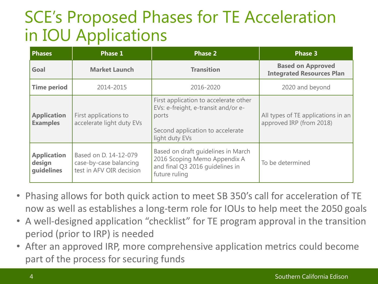# SCE's Proposed Phases for TE Acceleration in IOU Applications

| <b>Phases</b>                              | <b>Phase 1</b>                                                              | <b>Phase 2</b>                                                                                                                              | <b>Phase 3</b>                                                 |
|--------------------------------------------|-----------------------------------------------------------------------------|---------------------------------------------------------------------------------------------------------------------------------------------|----------------------------------------------------------------|
| Goal                                       | <b>Market Launch</b>                                                        | <b>Transition</b>                                                                                                                           | <b>Based on Approved</b><br><b>Integrated Resources Plan</b>   |
| <b>Time period</b>                         | 2014-2015                                                                   | 2016-2020                                                                                                                                   | 2020 and beyond                                                |
| <b>Application</b><br><b>Examples</b>      | First applications to<br>accelerate light duty EVs                          | First application to accelerate other<br>EVs: e-freight, e-transit and/or e-<br>ports<br>Second application to accelerate<br>light duty EVs | All types of TE applications in an<br>approved IRP (from 2018) |
| <b>Application</b><br>design<br>quidelines | Based on D. 14-12-079<br>case-by-case balancing<br>test in AFV OIR decision | Based on draft quidelines in March<br>2016 Scoping Memo Appendix A<br>and final Q3 2016 guidelines in<br>future ruling                      | To be determined                                               |

- Phasing allows for both quick action to meet SB 350's call for acceleration of TE now as well as establishes a long-term role for IOUs to help meet the 2050 goals
- A well-designed application "checklist" for TE program approval in the transition period (prior to IRP) is needed
- After an approved IRP, more comprehensive application metrics could become part of the process for securing funds